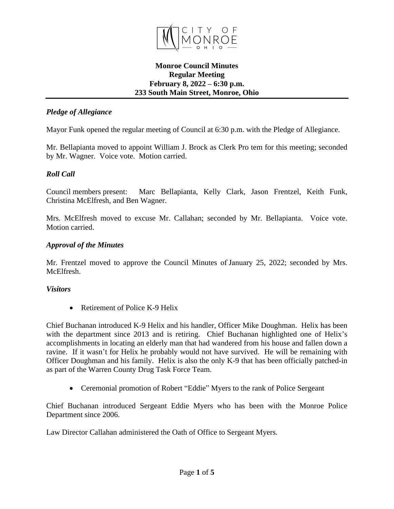

### **Monroe Council Minutes Regular Meeting February 8, 2022 – 6:30 p.m. 233 South Main Street, Monroe, Ohio**

### *Pledge of Allegiance*

Mayor Funk opened the regular meeting of Council at 6:30 p.m. with the Pledge of Allegiance.

Mr. Bellapianta moved to appoint William J. Brock as Clerk Pro tem for this meeting; seconded by Mr. Wagner. Voice vote. Motion carried.

### *Roll Call*

Council members present: Marc Bellapianta, Kelly Clark, Jason Frentzel, Keith Funk, Christina McElfresh, and Ben Wagner.

Mrs. McElfresh moved to excuse Mr. Callahan; seconded by Mr. Bellapianta. Voice vote. Motion carried.

#### *Approval of the Minutes*

Mr. Frentzel moved to approve the Council Minutes of January 25, 2022; seconded by Mrs. McElfresh.

#### *Visitors*

• Retirement of Police K-9 Helix

Chief Buchanan introduced K-9 Helix and his handler, Officer Mike Doughman. Helix has been with the department since 2013 and is retiring. Chief Buchanan highlighted one of Helix's accomplishments in locating an elderly man that had wandered from his house and fallen down a ravine. If it wasn't for Helix he probably would not have survived. He will be remaining with Officer Doughman and his family. Helix is also the only K-9 that has been officially patched-in as part of the Warren County Drug Task Force Team.

• Ceremonial promotion of Robert "Eddie" Myers to the rank of Police Sergeant

Chief Buchanan introduced Sergeant Eddie Myers who has been with the Monroe Police Department since 2006.

Law Director Callahan administered the Oath of Office to Sergeant Myers.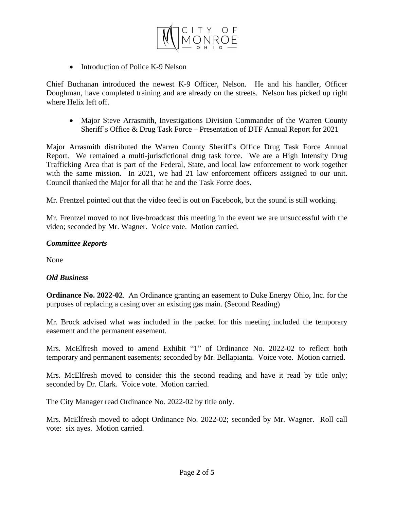

• Introduction of Police K-9 Nelson

Chief Buchanan introduced the newest K-9 Officer, Nelson. He and his handler, Officer Doughman, have completed training and are already on the streets. Nelson has picked up right where Helix left off.

 Major Steve Arrasmith, Investigations Division Commander of the Warren County Sheriff's Office & Drug Task Force – Presentation of DTF Annual Report for 2021

Major Arrasmith distributed the Warren County Sheriff's Office Drug Task Force Annual Report. We remained a multi-jurisdictional drug task force. We are a High Intensity Drug Trafficking Area that is part of the Federal, State, and local law enforcement to work together with the same mission. In 2021, we had 21 law enforcement officers assigned to our unit. Council thanked the Major for all that he and the Task Force does.

Mr. Frentzel pointed out that the video feed is out on Facebook, but the sound is still working.

Mr. Frentzel moved to not live-broadcast this meeting in the event we are unsuccessful with the video; seconded by Mr. Wagner. Voice vote. Motion carried.

### *Committee Reports*

None

# *Old Business*

**Ordinance No. 2022-02**. An Ordinance granting an easement to Duke Energy Ohio, Inc. for the purposes of replacing a casing over an existing gas main. (Second Reading)

Mr. Brock advised what was included in the packet for this meeting included the temporary easement and the permanent easement.

Mrs. McElfresh moved to amend Exhibit "1" of Ordinance No. 2022-02 to reflect both temporary and permanent easements; seconded by Mr. Bellapianta. Voice vote. Motion carried.

Mrs. McElfresh moved to consider this the second reading and have it read by title only; seconded by Dr. Clark. Voice vote. Motion carried.

The City Manager read Ordinance No. 2022-02 by title only.

Mrs. McElfresh moved to adopt Ordinance No. 2022-02; seconded by Mr. Wagner. Roll call vote: six ayes. Motion carried.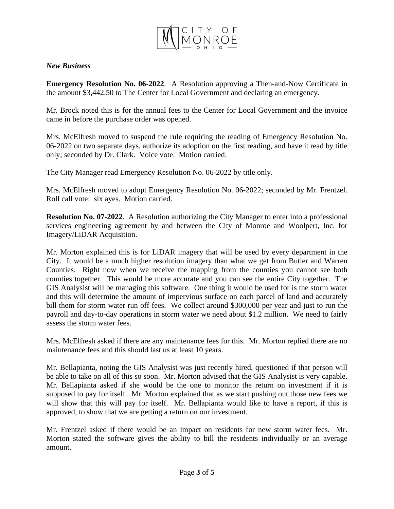

### *New Business*

**Emergency Resolution No. 06-2022**. A Resolution approving a Then-and-Now Certificate in the amount \$3,442.50 to The Center for Local Government and declaring an emergency.

Mr. Brock noted this is for the annual fees to the Center for Local Government and the invoice came in before the purchase order was opened.

Mrs. McElfresh moved to suspend the rule requiring the reading of Emergency Resolution No. 06-2022 on two separate days, authorize its adoption on the first reading, and have it read by title only; seconded by Dr. Clark. Voice vote. Motion carried.

The City Manager read Emergency Resolution No. 06-2022 by title only.

Mrs. McElfresh moved to adopt Emergency Resolution No. 06-2022; seconded by Mr. Frentzel. Roll call vote: six ayes. Motion carried.

**Resolution No. 07-2022**. A Resolution authorizing the City Manager to enter into a professional services engineering agreement by and between the City of Monroe and Woolpert, Inc. for Imagery/LiDAR Acquisition.

Mr. Morton explained this is for LiDAR imagery that will be used by every department in the City. It would be a much higher resolution imagery than what we get from Butler and Warren Counties. Right now when we receive the mapping from the counties you cannot see both counties together. This would be more accurate and you can see the entire City together. The GIS Analysist will be managing this software. One thing it would be used for is the storm water and this will determine the amount of impervious surface on each parcel of land and accurately bill them for storm water run off fees. We collect around \$300,000 per year and just to run the payroll and day-to-day operations in storm water we need about \$1.2 million. We need to fairly assess the storm water fees.

Mrs. McElfresh asked if there are any maintenance fees for this. Mr. Morton replied there are no maintenance fees and this should last us at least 10 years.

Mr. Bellapianta, noting the GIS Analysist was just recently hired, questioned if that person will be able to take on all of this so soon. Mr. Morton advised that the GIS Analysist is very capable. Mr. Bellapianta asked if she would be the one to monitor the return on investment if it is supposed to pay for itself. Mr. Morton explained that as we start pushing out those new fees we will show that this will pay for itself. Mr. Bellapianta would like to have a report, if this is approved, to show that we are getting a return on our investment.

Mr. Frentzel asked if there would be an impact on residents for new storm water fees. Mr. Morton stated the software gives the ability to bill the residents individually or an average amount.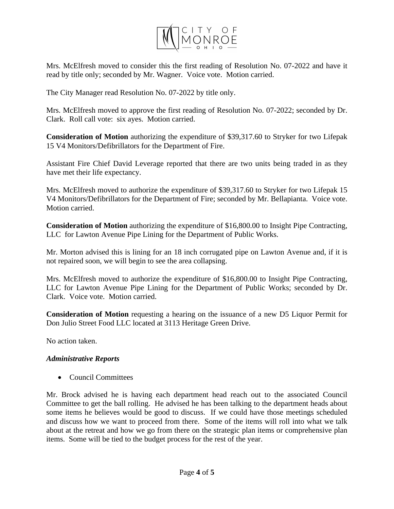

Mrs. McElfresh moved to consider this the first reading of Resolution No. 07-2022 and have it read by title only; seconded by Mr. Wagner. Voice vote. Motion carried.

The City Manager read Resolution No. 07-2022 by title only.

Mrs. McElfresh moved to approve the first reading of Resolution No. 07-2022; seconded by Dr. Clark. Roll call vote: six ayes. Motion carried.

**Consideration of Motion** authorizing the expenditure of \$39,317.60 to Stryker for two Lifepak 15 V4 Monitors/Defibrillators for the Department of Fire.

Assistant Fire Chief David Leverage reported that there are two units being traded in as they have met their life expectancy.

Mrs. McElfresh moved to authorize the expenditure of \$39,317.60 to Stryker for two Lifepak 15 V4 Monitors/Defibrillators for the Department of Fire; seconded by Mr. Bellapianta. Voice vote. Motion carried.

**Consideration of Motion** authorizing the expenditure of \$16,800.00 to Insight Pipe Contracting, LLC for Lawton Avenue Pipe Lining for the Department of Public Works.

Mr. Morton advised this is lining for an 18 inch corrugated pipe on Lawton Avenue and, if it is not repaired soon, we will begin to see the area collapsing.

Mrs. McElfresh moved to authorize the expenditure of \$16,800.00 to Insight Pipe Contracting, LLC for Lawton Avenue Pipe Lining for the Department of Public Works; seconded by Dr. Clark. Voice vote. Motion carried.

**Consideration of Motion** requesting a hearing on the issuance of a new D5 Liquor Permit for Don Julio Street Food LLC located at 3113 Heritage Green Drive.

No action taken.

# *Administrative Reports*

• Council Committees

Mr. Brock advised he is having each department head reach out to the associated Council Committee to get the ball rolling. He advised he has been talking to the department heads about some items he believes would be good to discuss. If we could have those meetings scheduled and discuss how we want to proceed from there. Some of the items will roll into what we talk about at the retreat and how we go from there on the strategic plan items or comprehensive plan items. Some will be tied to the budget process for the rest of the year.